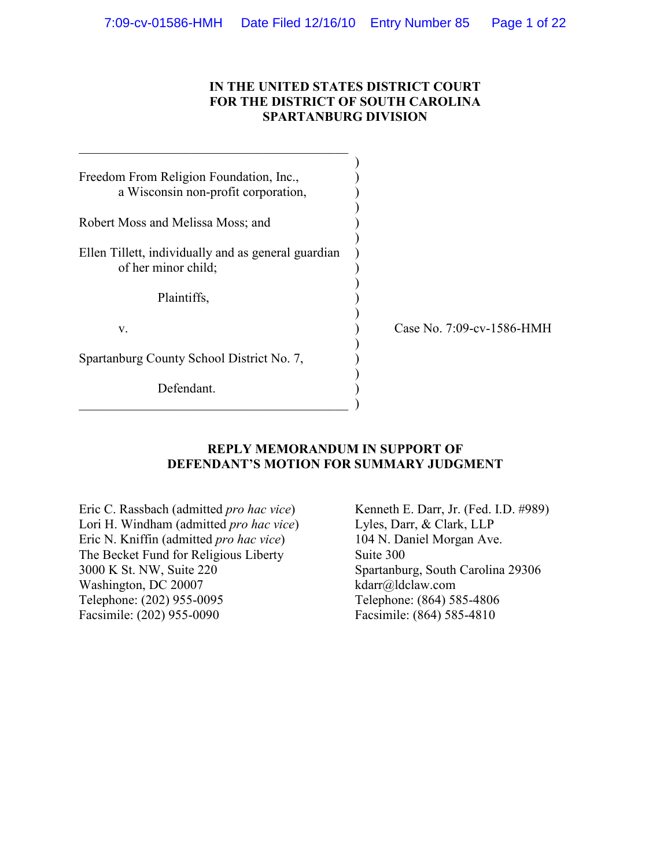### **IN THE UNITED STATES DISTRICT COURT FOR THE DISTRICT OF SOUTH CAROLINA SPARTANBURG DIVISION**

| Freedom From Religion Foundation, Inc.,             |     |
|-----------------------------------------------------|-----|
| a Wisconsin non-profit corporation,                 |     |
|                                                     |     |
| Robert Moss and Melissa Moss; and                   |     |
|                                                     |     |
| Ellen Tillett, individually and as general guardian |     |
| of her minor child;                                 |     |
|                                                     |     |
| Plaintiffs,                                         |     |
| V.                                                  | `as |
|                                                     |     |
| Spartanburg County School District No. 7,           |     |
|                                                     |     |
| Defendant.                                          |     |
|                                                     |     |

 $\_$  . The contribution of the contribution of  $\mathcal{L}_\mathcal{L}$ 

se No. 7:09-cv-1586-HMH

### **REPLY MEMORANDUM IN SUPPORT OF DEFENDANT'S MOTION FOR SUMMARY JUDGMENT**

Eric C. Rassbach (admitted *pro hac vice*) Lori H. Windham (admitted *pro hac vice*) Eric N. Kniffin (admitted *pro hac vice*) The Becket Fund for Religious Liberty 3000 K St. NW, Suite 220 Washington, DC 20007 Telephone: (202) 955-0095 Facsimile: (202) 955-0090

Kenneth E. Darr, Jr. (Fed. I.D. #989) Lyles, Darr, & Clark, LLP 104 N. Daniel Morgan Ave. Suite 300 Spartanburg, South Carolina 29306 kdarr@ldclaw.com Telephone: (864) 585-4806 Facsimile: (864) 585-4810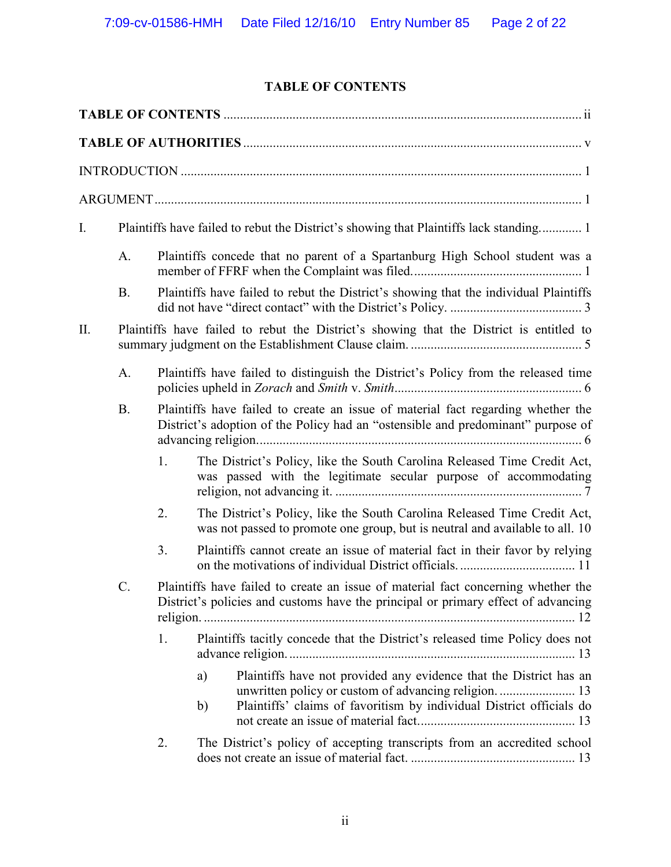# **TABLE OF CONTENTS**

| I.  |                 | Plaintiffs have failed to rebut the District's showing that Plaintiffs lack standing 1 |                                                                                                                                                                        |  |  |  |  |  |  |
|-----|-----------------|----------------------------------------------------------------------------------------|------------------------------------------------------------------------------------------------------------------------------------------------------------------------|--|--|--|--|--|--|
|     | A.              |                                                                                        | Plaintiffs concede that no parent of a Spartanburg High School student was a                                                                                           |  |  |  |  |  |  |
|     | <b>B.</b>       |                                                                                        | Plaintiffs have failed to rebut the District's showing that the individual Plaintiffs                                                                                  |  |  |  |  |  |  |
| II. |                 |                                                                                        | Plaintiffs have failed to rebut the District's showing that the District is entitled to                                                                                |  |  |  |  |  |  |
|     | A.              |                                                                                        | Plaintiffs have failed to distinguish the District's Policy from the released time                                                                                     |  |  |  |  |  |  |
|     | B.              |                                                                                        | Plaintiffs have failed to create an issue of material fact regarding whether the<br>District's adoption of the Policy had an "ostensible and predominant" purpose of   |  |  |  |  |  |  |
|     |                 | 1.                                                                                     | The District's Policy, like the South Carolina Released Time Credit Act,<br>was passed with the legitimate secular purpose of accommodating                            |  |  |  |  |  |  |
|     |                 | 2.                                                                                     | The District's Policy, like the South Carolina Released Time Credit Act,<br>was not passed to promote one group, but is neutral and available to all. 10               |  |  |  |  |  |  |
|     |                 | 3.                                                                                     | Plaintiffs cannot create an issue of material fact in their favor by relying                                                                                           |  |  |  |  |  |  |
|     | $\mathcal{C}$ . |                                                                                        | Plaintiffs have failed to create an issue of material fact concerning whether the<br>District's policies and customs have the principal or primary effect of advancing |  |  |  |  |  |  |
|     |                 | 1.                                                                                     | Plaintiffs tacitly concede that the District's released time Policy does not                                                                                           |  |  |  |  |  |  |
|     |                 |                                                                                        | Plaintiffs have not provided any evidence that the District has an<br>a)<br>Plaintiffs' claims of favoritism by individual District officials do<br>b)                 |  |  |  |  |  |  |
|     |                 | 2.                                                                                     | The District's policy of accepting transcripts from an accredited school                                                                                               |  |  |  |  |  |  |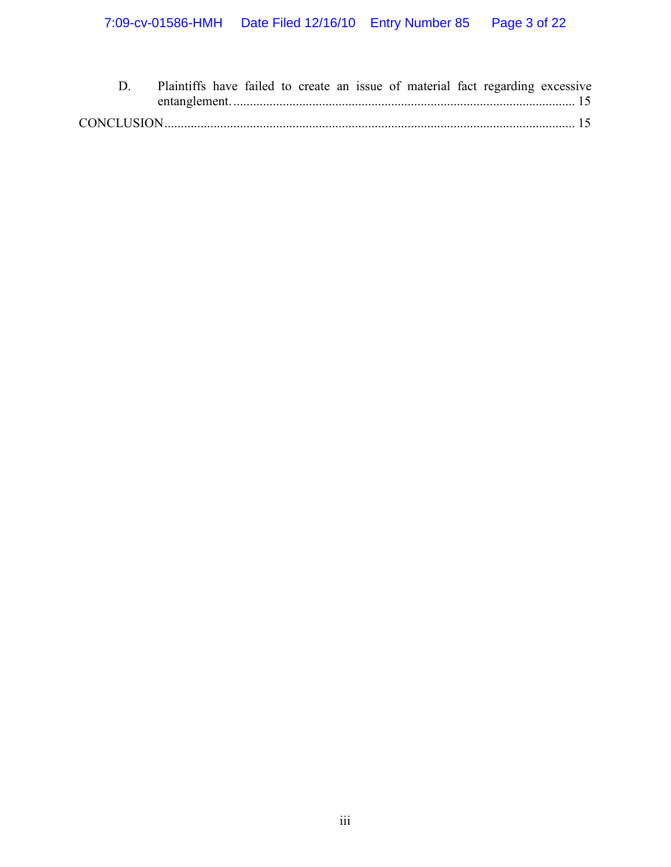|  |  |  |  |  | Plaintiffs have failed to create an issue of material fact regarding excessive |  |
|--|--|--|--|--|--------------------------------------------------------------------------------|--|
|  |  |  |  |  |                                                                                |  |
|  |  |  |  |  |                                                                                |  |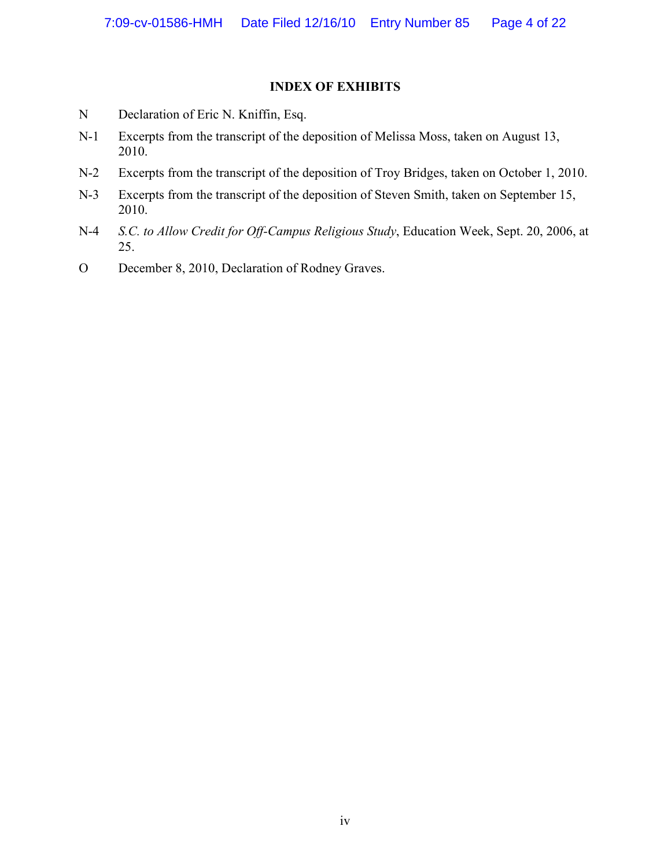#### **INDEX OF EXHIBITS**

- N Declaration of Eric N. Kniffin, Esq.
- N-1 Excerpts from the transcript of the deposition of Melissa Moss, taken on August 13, 2010.
- N-2 Excerpts from the transcript of the deposition of Troy Bridges, taken on October 1, 2010.
- N-3 Excerpts from the transcript of the deposition of Steven Smith, taken on September 15, 2010.
- N-4 *S.C. to Allow Credit for Off-Campus Religious Study*, Education Week, Sept. 20, 2006, at 25.
- O December 8, 2010, Declaration of Rodney Graves.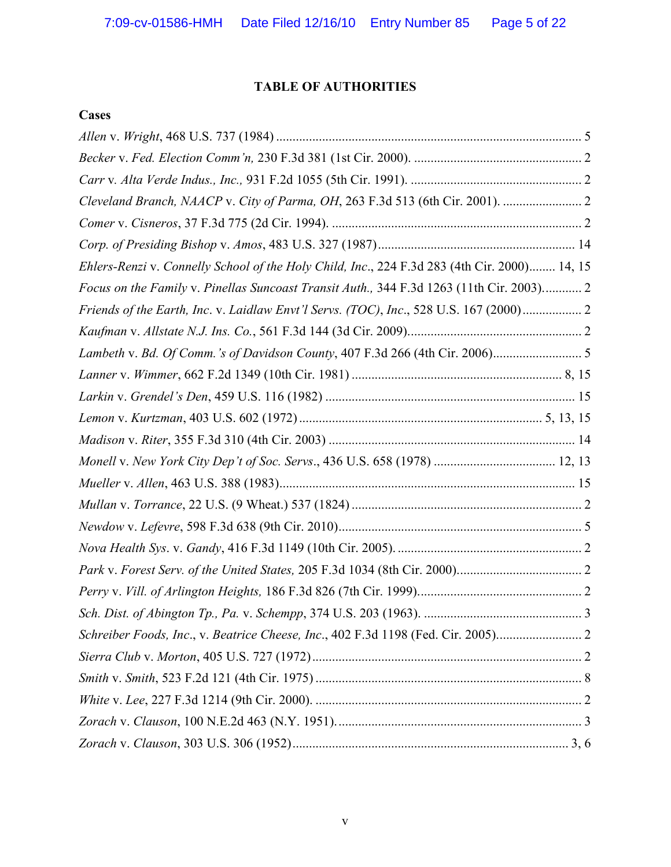## **TABLE OF AUTHORITIES**

## **Cases**

| Ehlers-Renzi v. Connelly School of the Holy Child, Inc., 224 F.3d 283 (4th Cir. 2000) 14, 15 |  |
|----------------------------------------------------------------------------------------------|--|
| Focus on the Family v. Pinellas Suncoast Transit Auth., 344 F.3d 1263 (11th Cir. 2003) 2     |  |
| Friends of the Earth, Inc. v. Laidlaw Envt'l Servs. (TOC), Inc., 528 U.S. 167 (2000)         |  |
|                                                                                              |  |
|                                                                                              |  |
|                                                                                              |  |
|                                                                                              |  |
|                                                                                              |  |
|                                                                                              |  |
| Monell v. New York City Dep't of Soc. Servs., 436 U.S. 658 (1978)  12, 13                    |  |
|                                                                                              |  |
|                                                                                              |  |
|                                                                                              |  |
|                                                                                              |  |
|                                                                                              |  |
|                                                                                              |  |
|                                                                                              |  |
| Schreiber Foods, Inc., v. Beatrice Cheese, Inc., 402 F.3d 1198 (Fed. Cir. 2005)              |  |
|                                                                                              |  |
|                                                                                              |  |
|                                                                                              |  |
|                                                                                              |  |
|                                                                                              |  |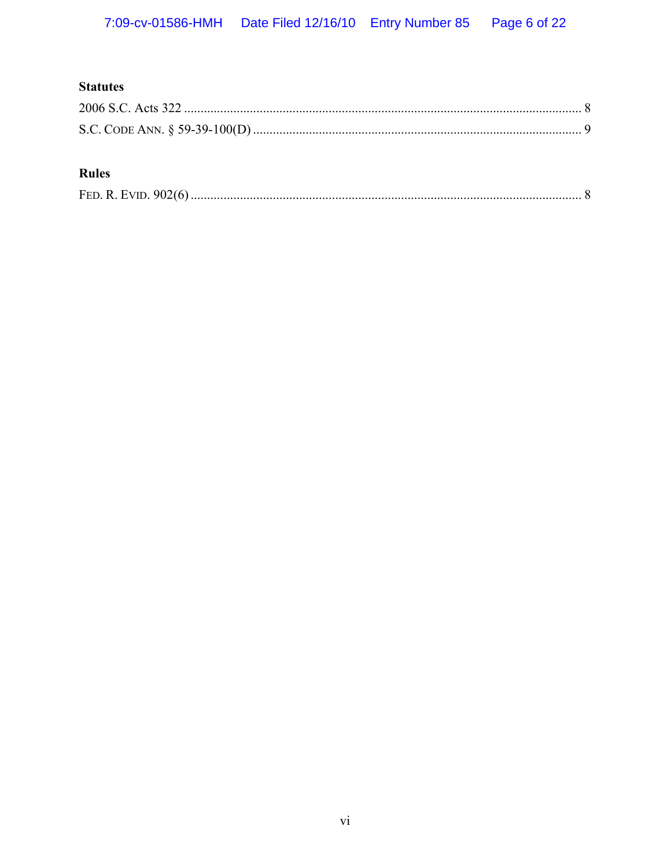# **Statutes**

# **Rules**

|--|--|--|--|--|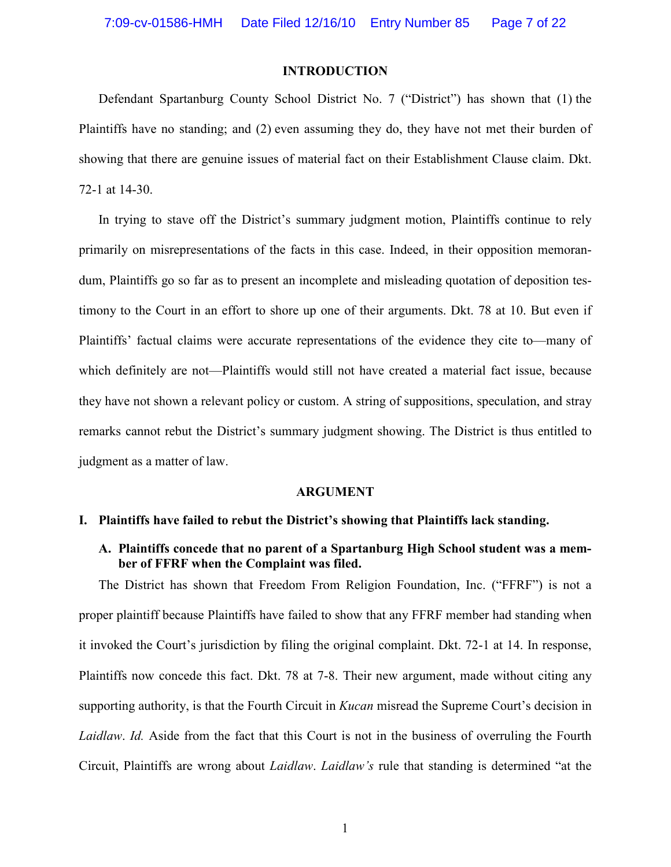#### **INTRODUCTION**

Defendant Spartanburg County School District No. 7 ("District") has shown that (1) the Plaintiffs have no standing; and (2) even assuming they do, they have not met their burden of showing that there are genuine issues of material fact on their Establishment Clause claim. Dkt. 72-1 at 14-30.

In trying to stave off the District's summary judgment motion, Plaintiffs continue to rely primarily on misrepresentations of the facts in this case. Indeed, in their opposition memorandum, Plaintiffs go so far as to present an incomplete and misleading quotation of deposition testimony to the Court in an effort to shore up one of their arguments. Dkt. 78 at 10. But even if Plaintiffs' factual claims were accurate representations of the evidence they cite to—many of which definitely are not—Plaintiffs would still not have created a material fact issue, because they have not shown a relevant policy or custom. A string of suppositions, speculation, and stray remarks cannot rebut the District's summary judgment showing. The District is thus entitled to judgment as a matter of law.

#### **ARGUMENT**

#### **I. Plaintiffs have failed to rebut the District's showing that Plaintiffs lack standing.**

**A. Plaintiffs concede that no parent of a Spartanburg High School student was a member of FFRF when the Complaint was filed.** 

The District has shown that Freedom From Religion Foundation, Inc. ("FFRF") is not a proper plaintiff because Plaintiffs have failed to show that any FFRF member had standing when it invoked the Court's jurisdiction by filing the original complaint. Dkt. 72-1 at 14. In response, Plaintiffs now concede this fact. Dkt. 78 at 7-8. Their new argument, made without citing any supporting authority, is that the Fourth Circuit in *Kucan* misread the Supreme Court's decision in *Laidlaw*. *Id.* Aside from the fact that this Court is not in the business of overruling the Fourth Circuit, Plaintiffs are wrong about *Laidlaw*. *Laidlaw's* rule that standing is determined "at the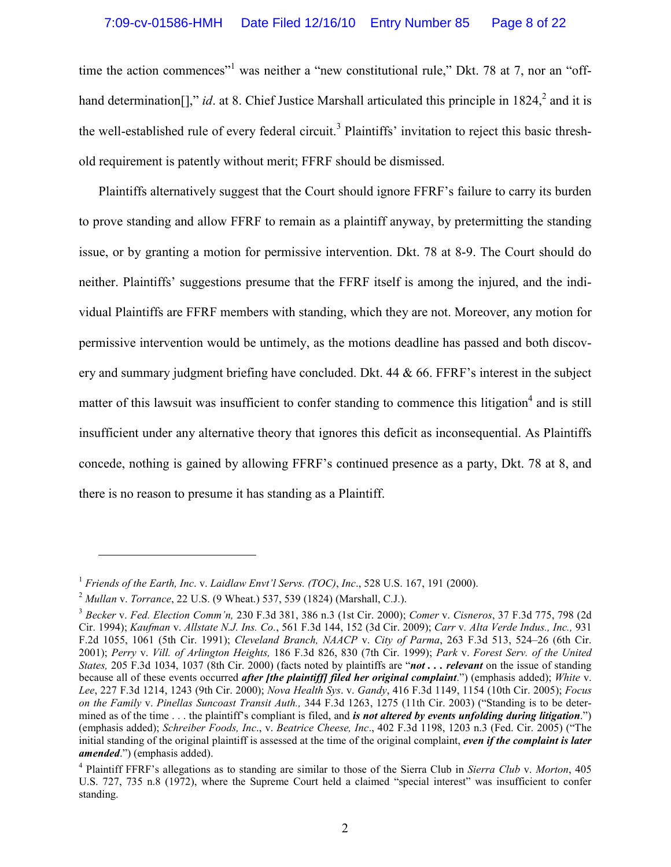time the action commences<sup>"1</sup> was neither a "new constitutional rule," Dkt. 78 at 7, nor an "offhand determination<sup>[]</sup>," *id.* at 8. Chief Justice Marshall articulated this principle in  $1824$ , and it is the well-established rule of every federal circuit.<sup>3</sup> Plaintiffs' invitation to reject this basic threshold requirement is patently without merit; FFRF should be dismissed.

Plaintiffs alternatively suggest that the Court should ignore FFRF's failure to carry its burden to prove standing and allow FFRF to remain as a plaintiff anyway, by pretermitting the standing issue, or by granting a motion for permissive intervention. Dkt. 78 at 8-9. The Court should do neither. Plaintiffs' suggestions presume that the FFRF itself is among the injured, and the individual Plaintiffs are FFRF members with standing, which they are not. Moreover, any motion for permissive intervention would be untimely, as the motions deadline has passed and both discovery and summary judgment briefing have concluded. Dkt. 44 & 66. FFRF's interest in the subject matter of this lawsuit was insufficient to confer standing to commence this litigation<sup>4</sup> and is still insufficient under any alternative theory that ignores this deficit as inconsequential. As Plaintiffs concede, nothing is gained by allowing FFRF's continued presence as a party, Dkt. 78 at 8, and there is no reason to presume it has standing as a Plaintiff.

<sup>1</sup> *Friends of the Earth, Inc*. v. *Laidlaw Envt'l Servs. (TOC)*, *Inc*., 528 U.S. 167, 191 (2000).

<sup>2</sup> *Mullan* v. *Torrance*, 22 U.S. (9 Wheat.) 537, 539 (1824) (Marshall, C.J.).

<sup>3</sup> *Becker* v. *Fed. Election Comm'n,* 230 F.3d 381, 386 n.3 (1st Cir. 2000); *Comer* v. *Cisneros*, 37 F.3d 775, 798 (2d Cir. 1994); *Kaufman* v. *Allstate N.J. Ins. Co.*, 561 F.3d 144, 152 (3d Cir. 2009); *Carr* v*. Alta Verde Indus., Inc.,* 931 F.2d 1055, 1061 (5th Cir. 1991); *Cleveland Branch, NAACP* v. *City of Parma*, 263 F.3d 513, 524–26 (6th Cir. 2001); *Perry* v. *Vill. of Arlington Heights,* 186 F.3d 826, 830 (7th Cir. 1999); *Park* v. *Forest Serv. of the United States,* 205 F.3d 1034, 1037 (8th Cir. 2000) (facts noted by plaintiffs are "*not . . . relevant* on the issue of standing because all of these events occurred *after [the plaintiff] filed her original complaint*.") (emphasis added); *White* v. *Lee*, 227 F.3d 1214, 1243 (9th Cir. 2000); *Nova Health Sys*. v. *Gandy*, 416 F.3d 1149, 1154 (10th Cir. 2005); *Focus on the Family* v. *Pinellas Suncoast Transit Auth.,* 344 F.3d 1263, 1275 (11th Cir. 2003) ("Standing is to be determined as of the time . . . the plaintiff's compliant is filed, and *is not altered by events unfolding during litigation*.") (emphasis added); *Schreiber Foods, Inc*., v. *Beatrice Cheese, Inc*., 402 F.3d 1198, 1203 n.3 (Fed. Cir. 2005) ("The initial standing of the original plaintiff is assessed at the time of the original complaint, *even if the complaint is later amended*.") (emphasis added).

<sup>4</sup> Plaintiff FFRF's allegations as to standing are similar to those of the Sierra Club in *Sierra Club* v. *Morton*, 405 U.S. 727, 735 n.8 (1972), where the Supreme Court held a claimed "special interest" was insufficient to confer standing.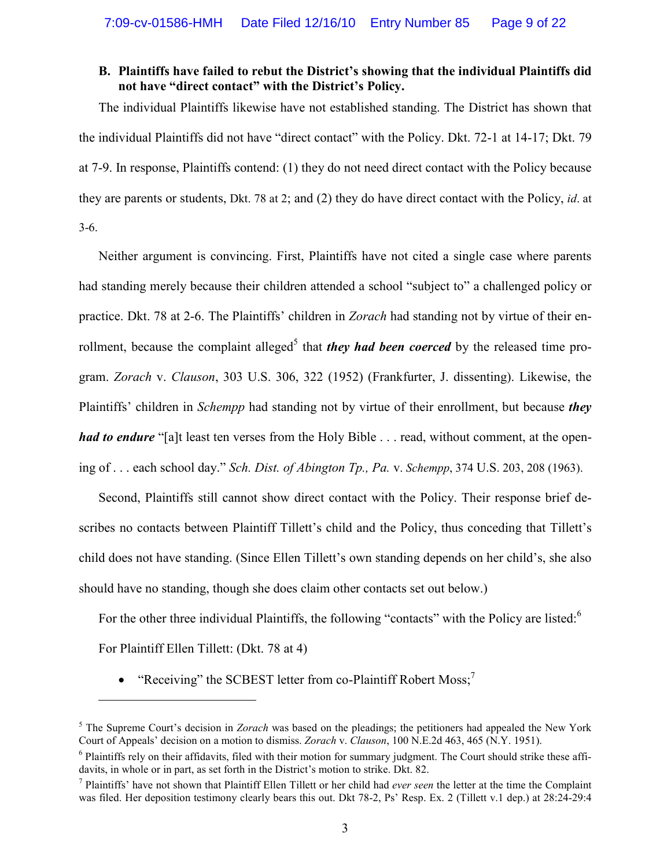#### **B. Plaintiffs have failed to rebut the District's showing that the individual Plaintiffs did not have "direct contact" with the District's Policy.**

The individual Plaintiffs likewise have not established standing. The District has shown that the individual Plaintiffs did not have "direct contact" with the Policy. Dkt. 72-1 at 14-17; Dkt. 79 at 7-9. In response, Plaintiffs contend: (1) they do not need direct contact with the Policy because they are parents or students, Dkt. 78 at 2; and (2) they do have direct contact with the Policy, *id*. at 3-6.

Neither argument is convincing. First, Plaintiffs have not cited a single case where parents had standing merely because their children attended a school "subject to" a challenged policy or practice. Dkt. 78 at 2-6. The Plaintiffs' children in *Zorach* had standing not by virtue of their enrollment, because the complaint alleged<sup>5</sup> that *they had been coerced* by the released time program. *Zorach* v. *Clauson*, 303 U.S. 306, 322 (1952) (Frankfurter, J. dissenting). Likewise, the Plaintiffs' children in *Schempp* had standing not by virtue of their enrollment, but because *they had to endure* "[a]t least ten verses from the Holy Bible . . . read, without comment, at the opening of . . . each school day." *Sch. Dist. of Abington Tp., Pa.* v. *Schempp*, 374 U.S. 203, 208 (1963).

Second, Plaintiffs still cannot show direct contact with the Policy. Their response brief describes no contacts between Plaintiff Tillett's child and the Policy, thus conceding that Tillett's child does not have standing. (Since Ellen Tillett's own standing depends on her child's, she also should have no standing, though she does claim other contacts set out below.)

For the other three individual Plaintiffs, the following "contacts" with the Policy are listed:<sup>6</sup>

For Plaintiff Ellen Tillett: (Dkt. 78 at 4)

-

• "Receiving" the SCBEST letter from co-Plaintiff Robert Moss;<sup>7</sup>

<sup>&</sup>lt;sup>5</sup> The Supreme Court's decision in *Zorach* was based on the pleadings; the petitioners had appealed the New York Court of Appeals' decision on a motion to dismiss. *Zorach* v. *Clauson*, 100 N.E.2d 463, 465 (N.Y. 1951).

<sup>&</sup>lt;sup>6</sup> Plaintiffs rely on their affidavits, filed with their motion for summary judgment. The Court should strike these affidavits, in whole or in part, as set forth in the District's motion to strike. Dkt. 82.

<sup>7</sup> Plaintiffs' have not shown that Plaintiff Ellen Tillett or her child had *ever seen* the letter at the time the Complaint was filed. Her deposition testimony clearly bears this out. Dkt 78-2, Ps' Resp. Ex. 2 (Tillett v.1 dep.) at 28:24-29:4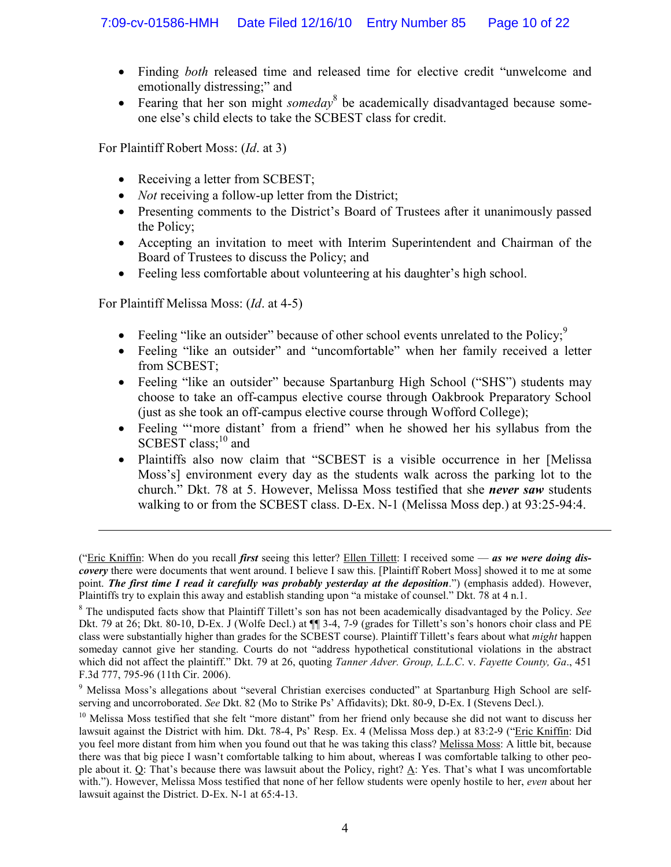- Finding *both* released time and released time for elective credit "unwelcome and emotionally distressing;" and
- Fearing that her son might *someday*<sup>8</sup> be academically disadvantaged because someone else's child elects to take the SCBEST class for credit.

For Plaintiff Robert Moss: (*Id*. at 3)

- Receiving a letter from SCBEST;
- *Not* receiving a follow-up letter from the District;
- Presenting comments to the District's Board of Trustees after it unanimously passed the Policy;
- Accepting an invitation to meet with Interim Superintendent and Chairman of the Board of Trustees to discuss the Policy; and
- Feeling less comfortable about volunteering at his daughter's high school.

For Plaintiff Melissa Moss: (*Id*. at 4-5)

- Feeling "like an outsider" because of other school events unrelated to the Policy; $\frac{9}{2}$
- Feeling "like an outsider" and "uncomfortable" when her family received a letter from SCBEST;
- Feeling "like an outsider" because Spartanburg High School ("SHS") students may choose to take an off-campus elective course through Oakbrook Preparatory School (just as she took an off-campus elective course through Wofford College);
- Feeling "more distant' from a friend" when he showed her his syllabus from the  $SCBEST$  class;<sup>10</sup> and
- Plaintiffs also now claim that "SCBEST is a visible occurrence in her [Melissa Moss's] environment every day as the students walk across the parking lot to the church." Dkt. 78 at 5. However, Melissa Moss testified that she *never saw* students walking to or from the SCBEST class. D-Ex. N-1 (Melissa Moss dep.) at 93:25-94:4.

<sup>(&</sup>quot;Eric Kniffin: When do you recall *first* seeing this letter? Ellen Tillett: I received some — *as we were doing discovery* there were documents that went around. I believe I saw this. [Plaintiff Robert Moss] showed it to me at some point. *The first time I read it carefully was probably yesterday at the deposition*.") (emphasis added). However, Plaintiffs try to explain this away and establish standing upon "a mistake of counsel." Dkt. 78 at 4 n.1.

<sup>8</sup> The undisputed facts show that Plaintiff Tillett's son has not been academically disadvantaged by the Policy. *See* Dkt. 79 at 26; Dkt. 80-10, D-Ex. J (Wolfe Decl.) at  $\P$  3-4, 7-9 (grades for Tillett's son's honors choir class and PE class were substantially higher than grades for the SCBEST course). Plaintiff Tillett's fears about what *might* happen someday cannot give her standing. Courts do not "address hypothetical constitutional violations in the abstract which did not affect the plaintiff." Dkt. 79 at 26, quoting *Tanner Adver. Group, L.L.C*. v. *Fayette County, Ga*., 451 F.3d 777, 795-96 (11th Cir. 2006).

<sup>&</sup>lt;sup>9</sup> Melissa Moss's allegations about "several Christian exercises conducted" at Spartanburg High School are selfserving and uncorroborated. *See* Dkt. 82 (Mo to Strike Ps' Affidavits); Dkt. 80-9, D-Ex. I (Stevens Decl.).

<sup>&</sup>lt;sup>10</sup> Melissa Moss testified that she felt "more distant" from her friend only because she did not want to discuss her lawsuit against the District with him. Dkt. 78-4, Ps' Resp. Ex. 4 (Melissa Moss dep.) at 83:2-9 ("Eric Kniffin: Did you feel more distant from him when you found out that he was taking this class? Melissa Moss: A little bit, because there was that big piece I wasn't comfortable talking to him about, whereas I was comfortable talking to other people about it. Q: That's because there was lawsuit about the Policy, right? A: Yes. That's what I was uncomfortable with."). However, Melissa Moss testified that none of her fellow students were openly hostile to her, *even* about her lawsuit against the District. D-Ex. N-1 at 65:4-13.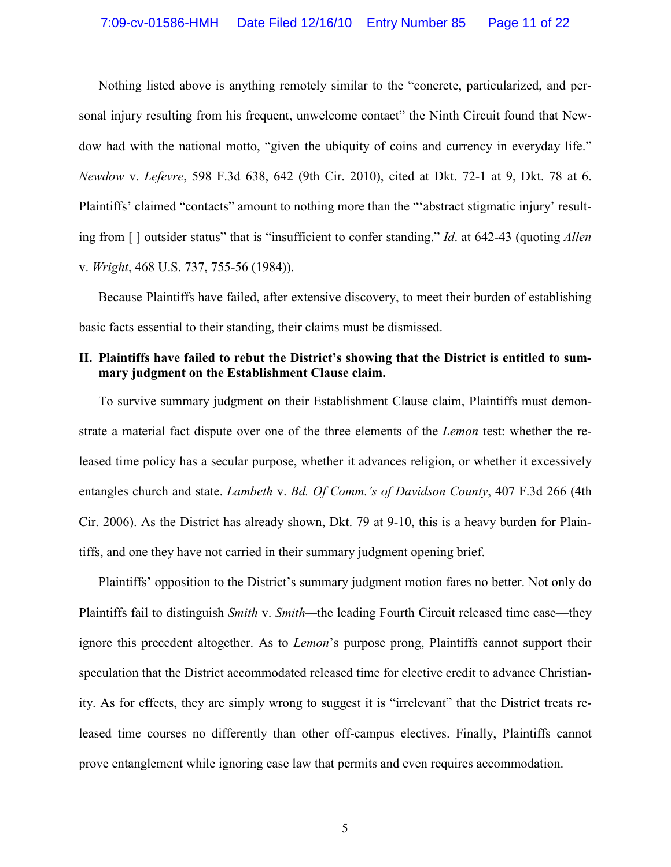Nothing listed above is anything remotely similar to the "concrete, particularized, and personal injury resulting from his frequent, unwelcome contact" the Ninth Circuit found that Newdow had with the national motto, "given the ubiquity of coins and currency in everyday life." *Newdow* v. *Lefevre*, 598 F.3d 638, 642 (9th Cir. 2010), cited at Dkt. 72-1 at 9, Dkt. 78 at 6. Plaintiffs' claimed "contacts" amount to nothing more than the "'abstract stigmatic injury' resulting from [ ] outsider status" that is "insufficient to confer standing." *Id*. at 642-43 (quoting *Allen* v. *Wright*, 468 U.S. 737, 755-56 (1984)).

Because Plaintiffs have failed, after extensive discovery, to meet their burden of establishing basic facts essential to their standing, their claims must be dismissed.

### **II. Plaintiffs have failed to rebut the District's showing that the District is entitled to summary judgment on the Establishment Clause claim.**

To survive summary judgment on their Establishment Clause claim, Plaintiffs must demonstrate a material fact dispute over one of the three elements of the *Lemon* test: whether the released time policy has a secular purpose, whether it advances religion, or whether it excessively entangles church and state. *Lambeth* v. *Bd. Of Comm.'s of Davidson County*, 407 F.3d 266 (4th Cir. 2006). As the District has already shown, Dkt. 79 at 9-10, this is a heavy burden for Plaintiffs, and one they have not carried in their summary judgment opening brief.

Plaintiffs' opposition to the District's summary judgment motion fares no better. Not only do Plaintiffs fail to distinguish *Smith* v. *Smith—*the leading Fourth Circuit released time case—they ignore this precedent altogether. As to *Lemon*'s purpose prong, Plaintiffs cannot support their speculation that the District accommodated released time for elective credit to advance Christianity. As for effects, they are simply wrong to suggest it is "irrelevant" that the District treats released time courses no differently than other off-campus electives. Finally, Plaintiffs cannot prove entanglement while ignoring case law that permits and even requires accommodation.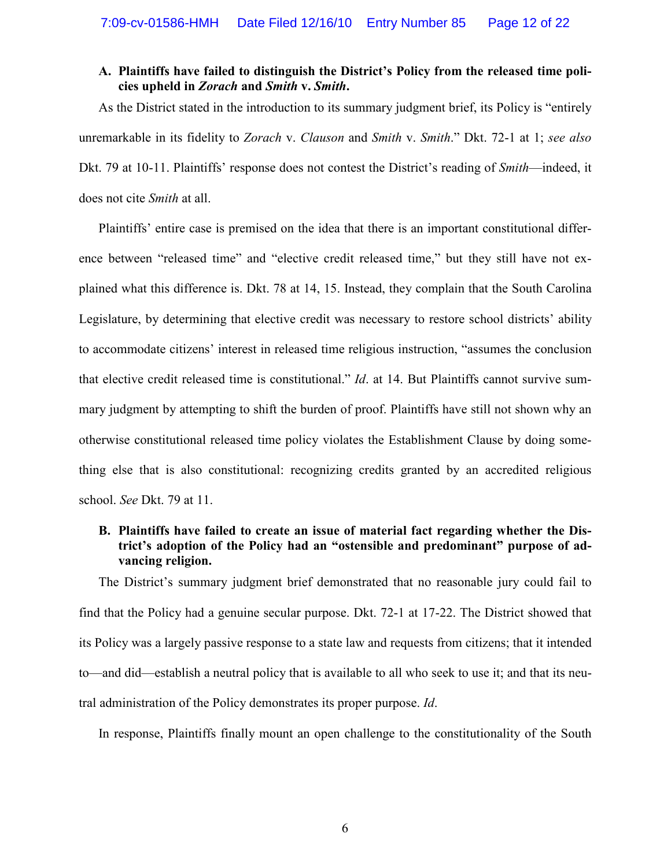#### **A. Plaintiffs have failed to distinguish the District's Policy from the released time policies upheld in** *Zorach* **and** *Smith* **v.** *Smith***.**

As the District stated in the introduction to its summary judgment brief, its Policy is "entirely unremarkable in its fidelity to *Zorach* v. *Clauson* and *Smith* v. *Smith*." Dkt. 72-1 at 1; *see also* Dkt. 79 at 10-11. Plaintiffs' response does not contest the District's reading of *Smith*—indeed, it does not cite *Smith* at all.

Plaintiffs' entire case is premised on the idea that there is an important constitutional difference between "released time" and "elective credit released time," but they still have not explained what this difference is. Dkt. 78 at 14, 15. Instead, they complain that the South Carolina Legislature, by determining that elective credit was necessary to restore school districts' ability to accommodate citizens' interest in released time religious instruction, "assumes the conclusion that elective credit released time is constitutional." *Id*. at 14. But Plaintiffs cannot survive summary judgment by attempting to shift the burden of proof. Plaintiffs have still not shown why an otherwise constitutional released time policy violates the Establishment Clause by doing something else that is also constitutional: recognizing credits granted by an accredited religious school. *See* Dkt. 79 at 11.

### **B. Plaintiffs have failed to create an issue of material fact regarding whether the District's adoption of the Policy had an "ostensible and predominant" purpose of advancing religion.**

The District's summary judgment brief demonstrated that no reasonable jury could fail to find that the Policy had a genuine secular purpose. Dkt. 72-1 at 17-22. The District showed that its Policy was a largely passive response to a state law and requests from citizens; that it intended to—and did—establish a neutral policy that is available to all who seek to use it; and that its neutral administration of the Policy demonstrates its proper purpose. *Id*.

In response, Plaintiffs finally mount an open challenge to the constitutionality of the South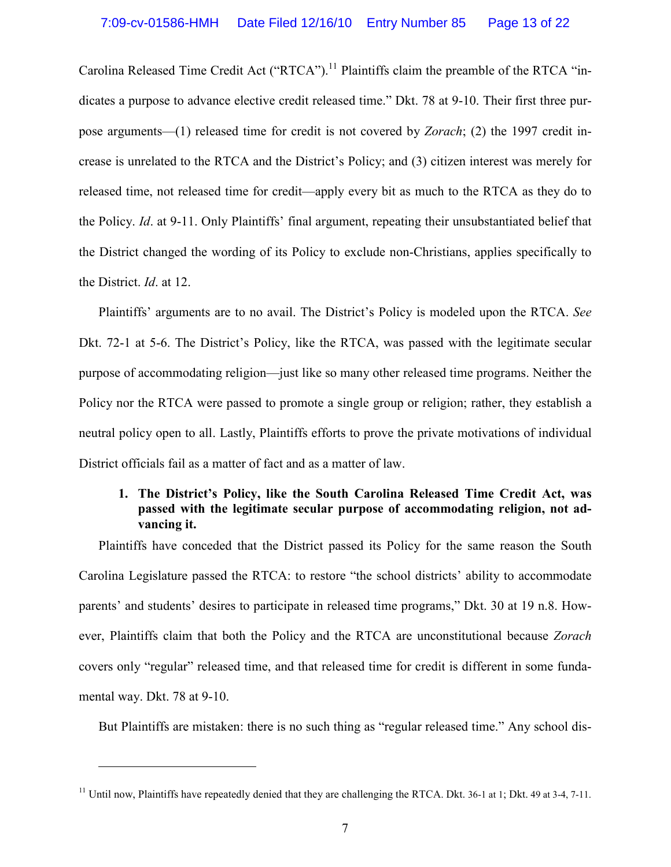Carolina Released Time Credit Act ("RTCA").<sup>11</sup> Plaintiffs claim the preamble of the RTCA "indicates a purpose to advance elective credit released time." Dkt. 78 at 9-10. Their first three purpose arguments—(1) released time for credit is not covered by *Zorach*; (2) the 1997 credit increase is unrelated to the RTCA and the District's Policy; and (3) citizen interest was merely for released time, not released time for credit—apply every bit as much to the RTCA as they do to the Policy. *Id*. at 9-11. Only Plaintiffs' final argument, repeating their unsubstantiated belief that the District changed the wording of its Policy to exclude non-Christians, applies specifically to the District. *Id*. at 12.

Plaintiffs' arguments are to no avail. The District's Policy is modeled upon the RTCA. *See*  Dkt. 72-1 at 5-6. The District's Policy, like the RTCA, was passed with the legitimate secular purpose of accommodating religion—just like so many other released time programs. Neither the Policy nor the RTCA were passed to promote a single group or religion; rather, they establish a neutral policy open to all. Lastly, Plaintiffs efforts to prove the private motivations of individual District officials fail as a matter of fact and as a matter of law.

## **1. The District's Policy, like the South Carolina Released Time Credit Act, was passed with the legitimate secular purpose of accommodating religion, not advancing it.**

Plaintiffs have conceded that the District passed its Policy for the same reason the South Carolina Legislature passed the RTCA: to restore "the school districts' ability to accommodate parents' and students' desires to participate in released time programs," Dkt. 30 at 19 n.8. However, Plaintiffs claim that both the Policy and the RTCA are unconstitutional because *Zorach* covers only "regular" released time, and that released time for credit is different in some fundamental way. Dkt. 78 at 9-10.

But Plaintiffs are mistaken: there is no such thing as "regular released time." Any school dis-

<sup>&</sup>lt;sup>11</sup> Until now, Plaintiffs have repeatedly denied that they are challenging the RTCA. Dkt. 36-1 at 1; Dkt. 49 at 3-4, 7-11.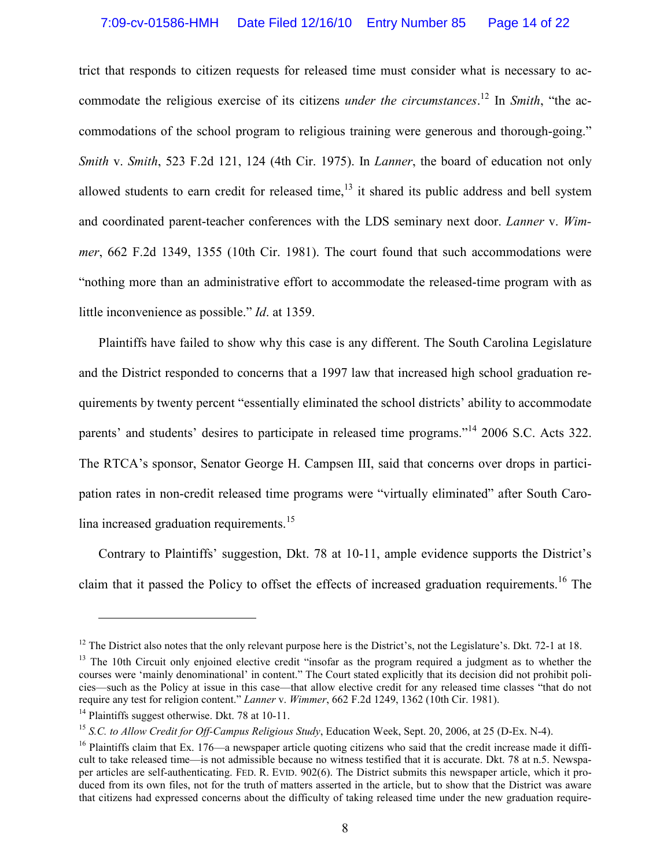trict that responds to citizen requests for released time must consider what is necessary to accommodate the religious exercise of its citizens *under the circumstances*. <sup>12</sup> In *Smith*, "the accommodations of the school program to religious training were generous and thorough-going." *Smith* v. *Smith*, 523 F.2d 121, 124 (4th Cir. 1975). In *Lanner*, the board of education not only allowed students to earn credit for released time, $13$  it shared its public address and bell system and coordinated parent-teacher conferences with the LDS seminary next door. *Lanner* v. *Wimmer*, 662 F.2d 1349, 1355 (10th Cir. 1981). The court found that such accommodations were "nothing more than an administrative effort to accommodate the released-time program with as little inconvenience as possible." *Id*. at 1359.

Plaintiffs have failed to show why this case is any different. The South Carolina Legislature and the District responded to concerns that a 1997 law that increased high school graduation requirements by twenty percent "essentially eliminated the school districts' ability to accommodate parents' and students' desires to participate in released time programs."<sup>14</sup> 2006 S.C. Acts 322. The RTCA's sponsor, Senator George H. Campsen III, said that concerns over drops in participation rates in non-credit released time programs were "virtually eliminated" after South Carolina increased graduation requirements.<sup>15</sup>

Contrary to Plaintiffs' suggestion, Dkt. 78 at 10-11, ample evidence supports the District's claim that it passed the Policy to offset the effects of increased graduation requirements.<sup>16</sup> The

-

 $12$  The District also notes that the only relevant purpose here is the District's, not the Legislature's. Dkt. 72-1 at 18.

<sup>&</sup>lt;sup>13</sup> The 10th Circuit only enjoined elective credit "insofar as the program required a judgment as to whether the courses were 'mainly denominational' in content." The Court stated explicitly that its decision did not prohibit policies—such as the Policy at issue in this case—that allow elective credit for any released time classes "that do not require any test for religion content." *Lanner* v. *Wimmer*, 662 F.2d 1249, 1362 (10th Cir. 1981).

<sup>&</sup>lt;sup>14</sup> Plaintiffs suggest otherwise. Dkt. 78 at 10-11.

<sup>15</sup> *S.C. to Allow Credit for Off-Campus Religious Study*, Education Week, Sept. 20, 2006, at 25 (D-Ex. N-4).

 $16$  Plaintiffs claim that Ex. 176—a newspaper article quoting citizens who said that the credit increase made it difficult to take released time—is not admissible because no witness testified that it is accurate. Dkt. 78 at n.5. Newspaper articles are self-authenticating. FED. R. EVID. 902(6). The District submits this newspaper article, which it produced from its own files, not for the truth of matters asserted in the article, but to show that the District was aware that citizens had expressed concerns about the difficulty of taking released time under the new graduation require-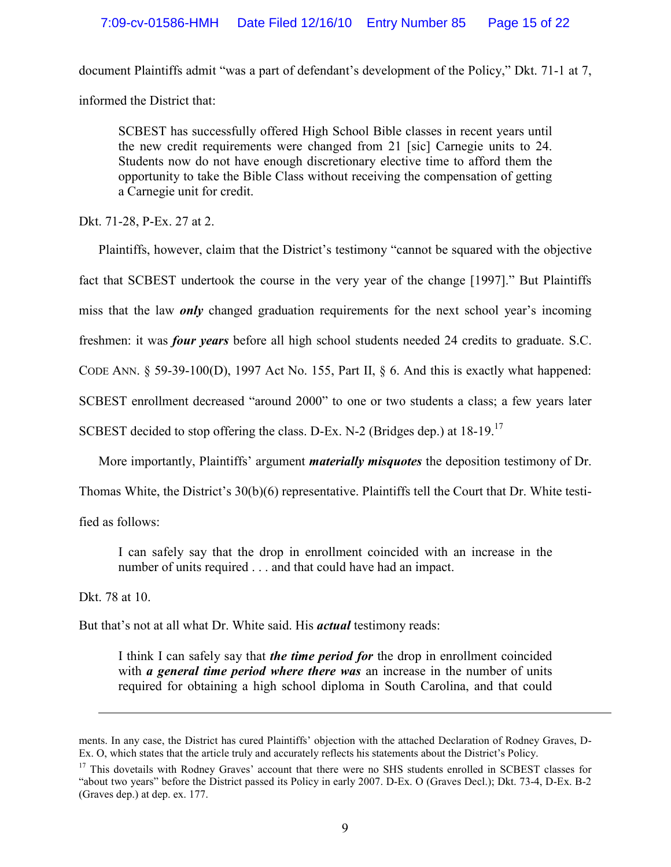document Plaintiffs admit "was a part of defendant's development of the Policy," Dkt. 71-1 at 7, informed the District that:

SCBEST has successfully offered High School Bible classes in recent years until the new credit requirements were changed from 21 [sic] Carnegie units to 24. Students now do not have enough discretionary elective time to afford them the opportunity to take the Bible Class without receiving the compensation of getting a Carnegie unit for credit.

Dkt. 71-28, P-Ex. 27 at 2.

Plaintiffs, however, claim that the District's testimony "cannot be squared with the objective fact that SCBEST undertook the course in the very year of the change [1997]." But Plaintiffs miss that the law *only* changed graduation requirements for the next school year's incoming freshmen: it was *four years* before all high school students needed 24 credits to graduate. S.C.

CODE ANN. § 59-39-100(D), 1997 Act No. 155, Part II, § 6. And this is exactly what happened:

SCBEST enrollment decreased "around 2000" to one or two students a class; a few years later

SCBEST decided to stop offering the class. D-Ex. N-2 (Bridges dep.) at 18-19.<sup>17</sup>

More importantly, Plaintiffs' argument *materially misquotes* the deposition testimony of Dr.

Thomas White, the District's 30(b)(6) representative. Plaintiffs tell the Court that Dr. White testi-

fied as follows:

I can safely say that the drop in enrollment coincided with an increase in the number of units required . . . and that could have had an impact.

Dkt. 78 at 10.

<u>.</u>

But that's not at all what Dr. White said. His *actual* testimony reads:

I think I can safely say that *the time period for* the drop in enrollment coincided with *a general time period where there was* an increase in the number of units required for obtaining a high school diploma in South Carolina, and that could

ments. In any case, the District has cured Plaintiffs' objection with the attached Declaration of Rodney Graves, D-Ex. O, which states that the article truly and accurately reflects his statements about the District's Policy.

<sup>&</sup>lt;sup>17</sup> This dovetails with Rodney Graves' account that there were no SHS students enrolled in SCBEST classes for "about two years" before the District passed its Policy in early 2007. D-Ex. O (Graves Decl.); Dkt. 73-4, D-Ex. B-2 (Graves dep.) at dep. ex. 177.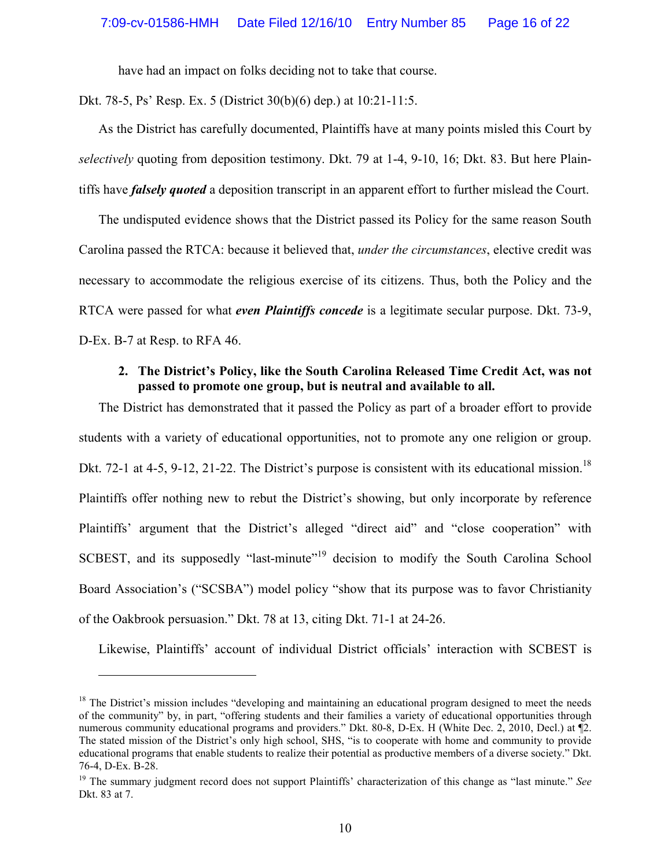have had an impact on folks deciding not to take that course.

Dkt. 78-5, Ps' Resp. Ex. 5 (District 30(b)(6) dep.) at 10:21-11:5.

As the District has carefully documented, Plaintiffs have at many points misled this Court by *selectively* quoting from deposition testimony. Dkt. 79 at 1-4, 9-10, 16; Dkt. 83. But here Plaintiffs have *falsely quoted* a deposition transcript in an apparent effort to further mislead the Court.

The undisputed evidence shows that the District passed its Policy for the same reason South Carolina passed the RTCA: because it believed that, *under the circumstances*, elective credit was necessary to accommodate the religious exercise of its citizens. Thus, both the Policy and the RTCA were passed for what *even Plaintiffs concede* is a legitimate secular purpose. Dkt. 73-9, D-Ex. B-7 at Resp. to RFA 46.

#### **2. The District's Policy, like the South Carolina Released Time Credit Act, was not passed to promote one group, but is neutral and available to all.**

The District has demonstrated that it passed the Policy as part of a broader effort to provide students with a variety of educational opportunities, not to promote any one religion or group. Dkt. 72-1 at 4-5, 9-12, 21-22. The District's purpose is consistent with its educational mission.<sup>18</sup> Plaintiffs offer nothing new to rebut the District's showing, but only incorporate by reference Plaintiffs' argument that the District's alleged "direct aid" and "close cooperation" with SCBEST, and its supposedly "last-minute"<sup>19</sup> decision to modify the South Carolina School Board Association's ("SCSBA") model policy "show that its purpose was to favor Christianity of the Oakbrook persuasion." Dkt. 78 at 13, citing Dkt. 71-1 at 24-26.

Likewise, Plaintiffs' account of individual District officials' interaction with SCBEST is

<u>.</u>

 $18$  The District's mission includes "developing and maintaining an educational program designed to meet the needs of the community" by, in part, "offering students and their families a variety of educational opportunities through numerous community educational programs and providers." Dkt. 80-8, D-Ex. H (White Dec. 2, 2010, Decl.) at ¶2. The stated mission of the District's only high school, SHS, "is to cooperate with home and community to provide educational programs that enable students to realize their potential as productive members of a diverse society." Dkt. 76-4, D-Ex. B-28.

<sup>19</sup> The summary judgment record does not support Plaintiffs' characterization of this change as "last minute." *See* Dkt. 83 at 7.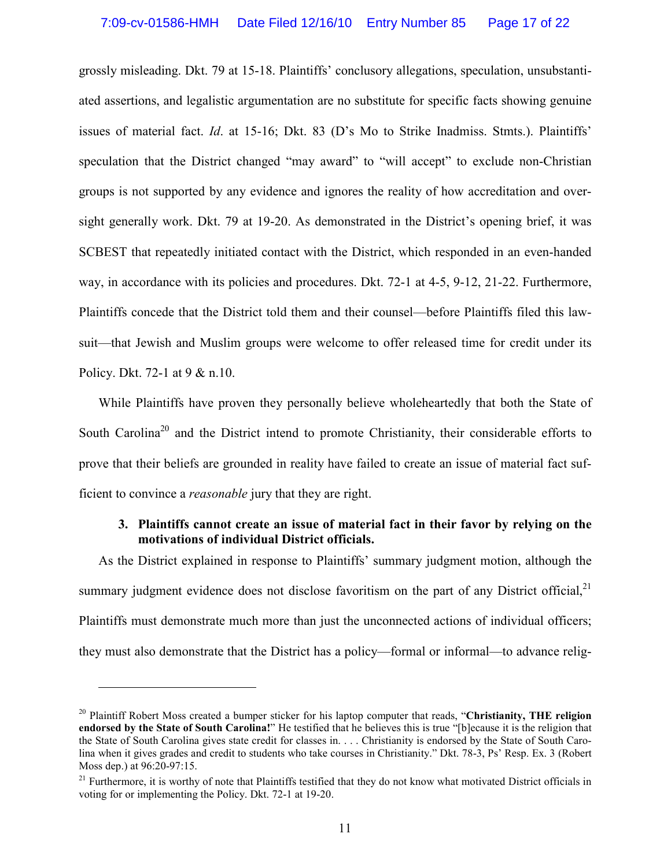grossly misleading. Dkt. 79 at 15-18. Plaintiffs' conclusory allegations, speculation, unsubstantiated assertions, and legalistic argumentation are no substitute for specific facts showing genuine issues of material fact. *Id*. at 15-16; Dkt. 83 (D's Mo to Strike Inadmiss. Stmts.). Plaintiffs' speculation that the District changed "may award" to "will accept" to exclude non-Christian groups is not supported by any evidence and ignores the reality of how accreditation and oversight generally work. Dkt. 79 at 19-20. As demonstrated in the District's opening brief, it was SCBEST that repeatedly initiated contact with the District, which responded in an even-handed way, in accordance with its policies and procedures. Dkt. 72-1 at 4-5, 9-12, 21-22. Furthermore, Plaintiffs concede that the District told them and their counsel—before Plaintiffs filed this lawsuit—that Jewish and Muslim groups were welcome to offer released time for credit under its Policy. Dkt. 72-1 at 9 & n.10.

While Plaintiffs have proven they personally believe wholeheartedly that both the State of South Carolina<sup>20</sup> and the District intend to promote Christianity, their considerable efforts to prove that their beliefs are grounded in reality have failed to create an issue of material fact sufficient to convince a *reasonable* jury that they are right.

#### **3. Plaintiffs cannot create an issue of material fact in their favor by relying on the motivations of individual District officials.**

As the District explained in response to Plaintiffs' summary judgment motion, although the summary judgment evidence does not disclose favoritism on the part of any District official,  $2<sup>1</sup>$ Plaintiffs must demonstrate much more than just the unconnected actions of individual officers; they must also demonstrate that the District has a policy—formal or informal—to advance relig-

-

<sup>20</sup> Plaintiff Robert Moss created a bumper sticker for his laptop computer that reads, "**Christianity, THE religion endorsed by the State of South Carolina!**" He testified that he believes this is true "[b]ecause it is the religion that the State of South Carolina gives state credit for classes in. . . . Christianity is endorsed by the State of South Carolina when it gives grades and credit to students who take courses in Christianity." Dkt. 78-3, Ps' Resp. Ex. 3 (Robert Moss dep.) at 96:20-97:15.

<sup>&</sup>lt;sup>21</sup> Furthermore, it is worthy of note that Plaintiffs testified that they do not know what motivated District officials in voting for or implementing the Policy. Dkt. 72-1 at 19-20.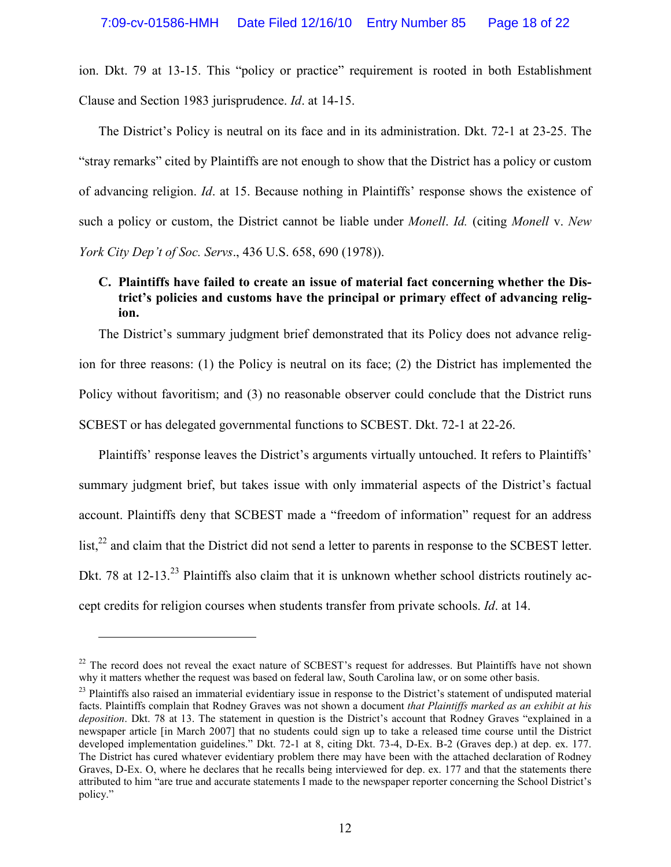ion. Dkt. 79 at 13-15. This "policy or practice" requirement is rooted in both Establishment Clause and Section 1983 jurisprudence. *Id*. at 14-15.

The District's Policy is neutral on its face and in its administration. Dkt. 72-1 at 23-25. The "stray remarks" cited by Plaintiffs are not enough to show that the District has a policy or custom of advancing religion. *Id*. at 15. Because nothing in Plaintiffs' response shows the existence of such a policy or custom, the District cannot be liable under *Monell*. *Id.* (citing *Monell* v. *New York City Dep't of Soc. Servs*., 436 U.S. 658, 690 (1978)).

## **C. Plaintiffs have failed to create an issue of material fact concerning whether the District's policies and customs have the principal or primary effect of advancing religion.**

The District's summary judgment brief demonstrated that its Policy does not advance religion for three reasons: (1) the Policy is neutral on its face; (2) the District has implemented the Policy without favoritism; and (3) no reasonable observer could conclude that the District runs SCBEST or has delegated governmental functions to SCBEST. Dkt. 72-1 at 22-26.

Plaintiffs' response leaves the District's arguments virtually untouched. It refers to Plaintiffs' summary judgment brief, but takes issue with only immaterial aspects of the District's factual account. Plaintiffs deny that SCBEST made a "freedom of information" request for an address list,<sup>22</sup> and claim that the District did not send a letter to parents in response to the SCBEST letter. Dkt. 78 at 12-13.<sup>23</sup> Plaintiffs also claim that it is unknown whether school districts routinely accept credits for religion courses when students transfer from private schools. *Id*. at 14.

<sup>&</sup>lt;sup>22</sup> The record does not reveal the exact nature of SCBEST's request for addresses. But Plaintiffs have not shown why it matters whether the request was based on federal law, South Carolina law, or on some other basis.

 $^{23}$  Plaintiffs also raised an immaterial evidentiary issue in response to the District's statement of undisputed material facts. Plaintiffs complain that Rodney Graves was not shown a document *that Plaintiffs marked as an exhibit at his deposition*. Dkt. 78 at 13. The statement in question is the District's account that Rodney Graves "explained in a newspaper article [in March 2007] that no students could sign up to take a released time course until the District developed implementation guidelines." Dkt. 72-1 at 8, citing Dkt. 73-4, D-Ex. B-2 (Graves dep.) at dep. ex. 177. The District has cured whatever evidentiary problem there may have been with the attached declaration of Rodney Graves, D-Ex. O, where he declares that he recalls being interviewed for dep. ex. 177 and that the statements there attributed to him "are true and accurate statements I made to the newspaper reporter concerning the School District's policy."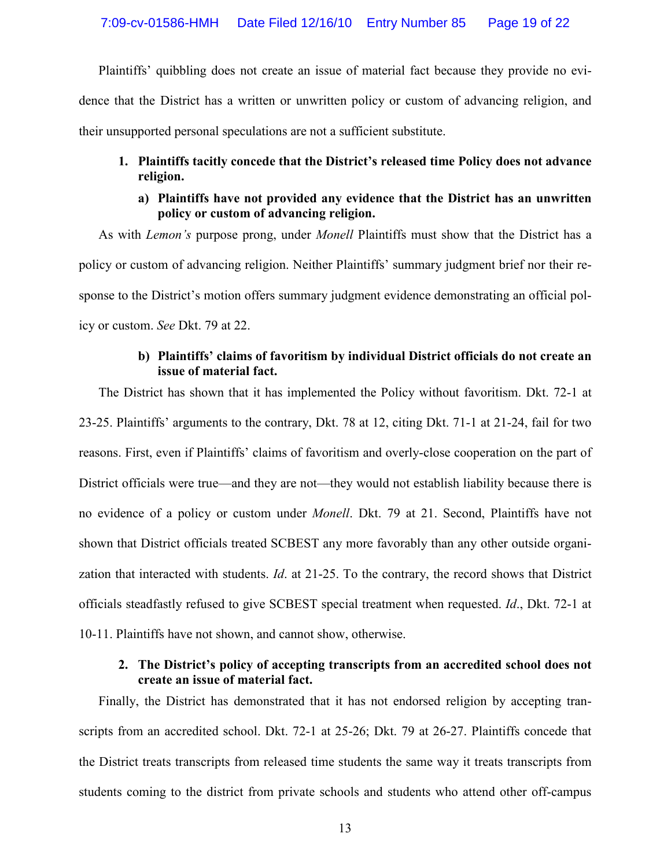Plaintiffs' quibbling does not create an issue of material fact because they provide no evidence that the District has a written or unwritten policy or custom of advancing religion, and their unsupported personal speculations are not a sufficient substitute.

### **1. Plaintiffs tacitly concede that the District's released time Policy does not advance religion.**

#### **a) Plaintiffs have not provided any evidence that the District has an unwritten policy or custom of advancing religion.**

As with *Lemon's* purpose prong, under *Monell* Plaintiffs must show that the District has a policy or custom of advancing religion. Neither Plaintiffs' summary judgment brief nor their response to the District's motion offers summary judgment evidence demonstrating an official policy or custom. *See* Dkt. 79 at 22.

#### **b) Plaintiffs' claims of favoritism by individual District officials do not create an issue of material fact.**

The District has shown that it has implemented the Policy without favoritism. Dkt. 72-1 at 23-25. Plaintiffs' arguments to the contrary, Dkt. 78 at 12, citing Dkt. 71-1 at 21-24, fail for two reasons. First, even if Plaintiffs' claims of favoritism and overly-close cooperation on the part of District officials were true—and they are not—they would not establish liability because there is no evidence of a policy or custom under *Monell*. Dkt. 79 at 21. Second, Plaintiffs have not shown that District officials treated SCBEST any more favorably than any other outside organization that interacted with students. *Id*. at 21-25. To the contrary, the record shows that District officials steadfastly refused to give SCBEST special treatment when requested. *Id*., Dkt. 72-1 at 10-11. Plaintiffs have not shown, and cannot show, otherwise.

### **2. The District's policy of accepting transcripts from an accredited school does not create an issue of material fact.**

Finally, the District has demonstrated that it has not endorsed religion by accepting transcripts from an accredited school. Dkt. 72-1 at 25-26; Dkt. 79 at 26-27. Plaintiffs concede that the District treats transcripts from released time students the same way it treats transcripts from students coming to the district from private schools and students who attend other off-campus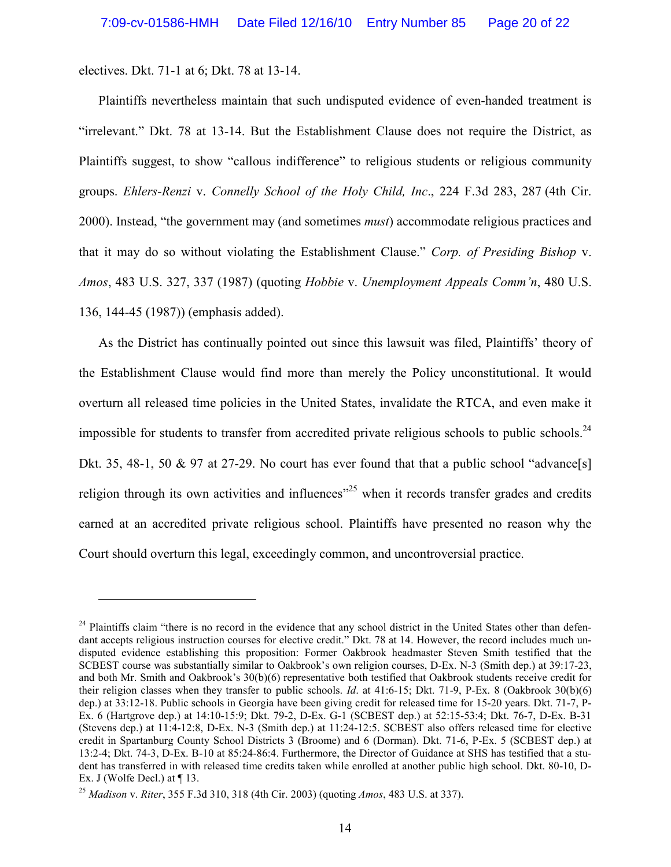electives. Dkt. 71-1 at 6; Dkt. 78 at 13-14.

<u>.</u>

Plaintiffs nevertheless maintain that such undisputed evidence of even-handed treatment is "irrelevant." Dkt. 78 at 13-14. But the Establishment Clause does not require the District, as Plaintiffs suggest, to show "callous indifference" to religious students or religious community groups. *Ehlers-Renzi* v. *Connelly School of the Holy Child, Inc*., 224 F.3d 283, 287 (4th Cir. 2000). Instead, "the government may (and sometimes *must*) accommodate religious practices and that it may do so without violating the Establishment Clause." *Corp. of Presiding Bishop* v. *Amos*, 483 U.S. 327, 337 (1987) (quoting *Hobbie* v. *Unemployment Appeals Comm'n*, 480 U.S. 136, 144-45 (1987)) (emphasis added).

As the District has continually pointed out since this lawsuit was filed, Plaintiffs' theory of the Establishment Clause would find more than merely the Policy unconstitutional. It would overturn all released time policies in the United States, invalidate the RTCA, and even make it impossible for students to transfer from accredited private religious schools to public schools.<sup>24</sup> Dkt. 35, 48-1, 50 & 97 at 27-29. No court has ever found that that a public school "advance[s] religion through its own activities and influences<sup> $25$ </sup> when it records transfer grades and credits earned at an accredited private religious school. Plaintiffs have presented no reason why the Court should overturn this legal, exceedingly common, and uncontroversial practice.

 $24$  Plaintiffs claim "there is no record in the evidence that any school district in the United States other than defendant accepts religious instruction courses for elective credit." Dkt. 78 at 14. However, the record includes much undisputed evidence establishing this proposition: Former Oakbrook headmaster Steven Smith testified that the SCBEST course was substantially similar to Oakbrook's own religion courses, D-Ex. N-3 (Smith dep.) at 39:17-23, and both Mr. Smith and Oakbrook's 30(b)(6) representative both testified that Oakbrook students receive credit for their religion classes when they transfer to public schools. *Id*. at 41:6-15; Dkt. 71-9, P-Ex. 8 (Oakbrook 30(b)(6) dep.) at 33:12-18. Public schools in Georgia have been giving credit for released time for 15-20 years. Dkt. 71-7, P-Ex. 6 (Hartgrove dep.) at 14:10-15:9; Dkt. 79-2, D-Ex. G-1 (SCBEST dep.) at 52:15-53:4; Dkt. 76-7, D-Ex. B-31 (Stevens dep.) at 11:4-12:8, D-Ex. N-3 (Smith dep.) at 11:24-12:5. SCBEST also offers released time for elective credit in Spartanburg County School Districts 3 (Broome) and 6 (Dorman). Dkt. 71-6, P-Ex. 5 (SCBEST dep.) at 13:2-4; Dkt. 74-3, D-Ex. B-10 at 85:24-86:4. Furthermore, the Director of Guidance at SHS has testified that a student has transferred in with released time credits taken while enrolled at another public high school. Dkt. 80-10, D-Ex. J (Wolfe Decl.) at  $\P$  13.

<sup>25</sup> *Madison* v. *Riter*, 355 F.3d 310, 318 (4th Cir. 2003) (quoting *Amos*, 483 U.S. at 337).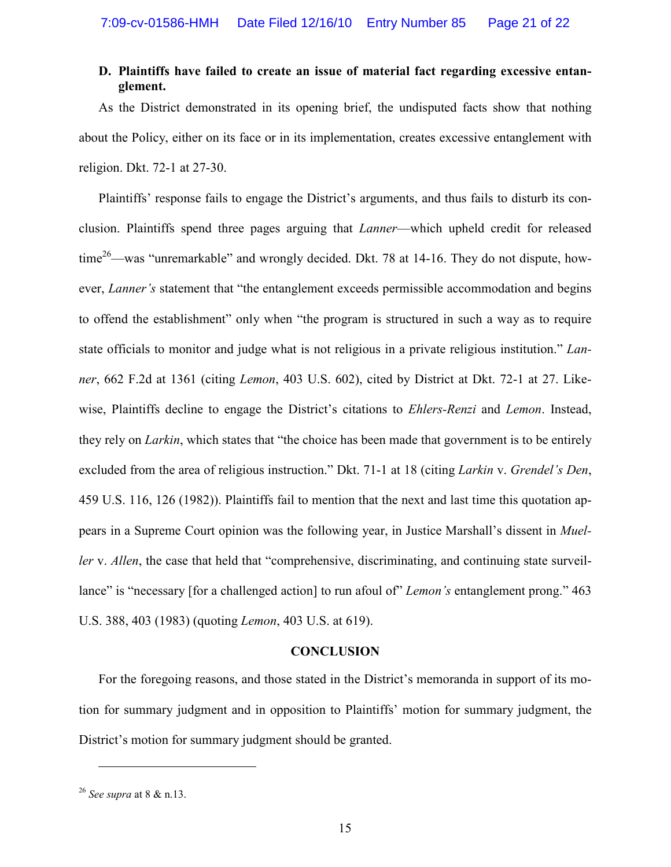#### **D. Plaintiffs have failed to create an issue of material fact regarding excessive entanglement.**

As the District demonstrated in its opening brief, the undisputed facts show that nothing about the Policy, either on its face or in its implementation, creates excessive entanglement with religion. Dkt. 72-1 at 27-30.

Plaintiffs' response fails to engage the District's arguments, and thus fails to disturb its conclusion. Plaintiffs spend three pages arguing that *Lanner*—which upheld credit for released time<sup>26</sup>—was "unremarkable" and wrongly decided. Dkt. 78 at 14-16. They do not dispute, however, *Lanner's* statement that "the entanglement exceeds permissible accommodation and begins to offend the establishment" only when "the program is structured in such a way as to require state officials to monitor and judge what is not religious in a private religious institution." *Lanner*, 662 F.2d at 1361 (citing *Lemon*, 403 U.S. 602), cited by District at Dkt. 72-1 at 27. Likewise, Plaintiffs decline to engage the District's citations to *Ehlers-Renzi* and *Lemon*. Instead, they rely on *Larkin*, which states that "the choice has been made that government is to be entirely excluded from the area of religious instruction." Dkt. 71-1 at 18 (citing *Larkin* v. *Grendel's Den*, 459 U.S. 116, 126 (1982)). Plaintiffs fail to mention that the next and last time this quotation appears in a Supreme Court opinion was the following year, in Justice Marshall's dissent in *Mueller* v. *Allen*, the case that held that "comprehensive, discriminating, and continuing state surveillance" is "necessary [for a challenged action] to run afoul of" *Lemon's* entanglement prong." 463 U.S. 388, 403 (1983) (quoting *Lemon*, 403 U.S. at 619).

#### **CONCLUSION**

For the foregoing reasons, and those stated in the District's memoranda in support of its motion for summary judgment and in opposition to Plaintiffs' motion for summary judgment, the District's motion for summary judgment should be granted.

<sup>26</sup> *See supra* at 8 & n.13.